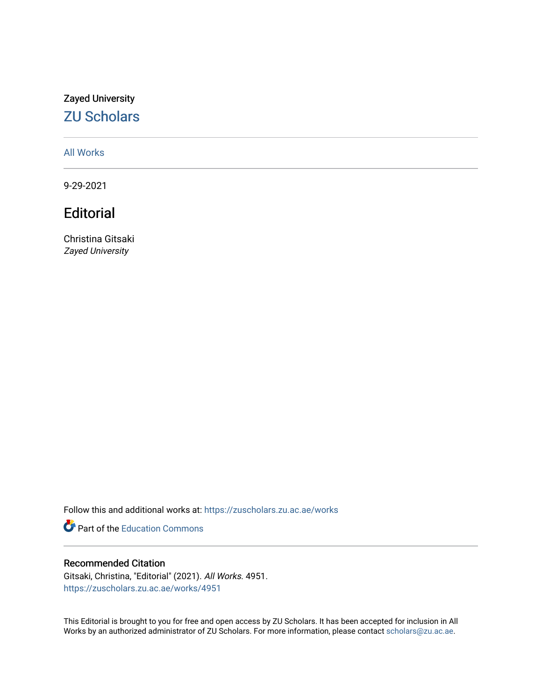### Zayed University [ZU Scholars](https://zuscholars.zu.ac.ae/)

### [All Works](https://zuscholars.zu.ac.ae/works)

9-29-2021

## **Editorial**

Christina Gitsaki Zayed University

Follow this and additional works at: [https://zuscholars.zu.ac.ae/works](https://zuscholars.zu.ac.ae/works?utm_source=zuscholars.zu.ac.ae%2Fworks%2F4951&utm_medium=PDF&utm_campaign=PDFCoverPages)

**P** Part of the [Education Commons](http://network.bepress.com/hgg/discipline/784?utm_source=zuscholars.zu.ac.ae%2Fworks%2F4951&utm_medium=PDF&utm_campaign=PDFCoverPages)

#### Recommended Citation

Gitsaki, Christina, "Editorial" (2021). All Works. 4951. [https://zuscholars.zu.ac.ae/works/4951](https://zuscholars.zu.ac.ae/works/4951?utm_source=zuscholars.zu.ac.ae%2Fworks%2F4951&utm_medium=PDF&utm_campaign=PDFCoverPages)

This Editorial is brought to you for free and open access by ZU Scholars. It has been accepted for inclusion in All Works by an authorized administrator of ZU Scholars. For more information, please contact [scholars@zu.ac.ae](mailto:scholars@zu.ac.ae).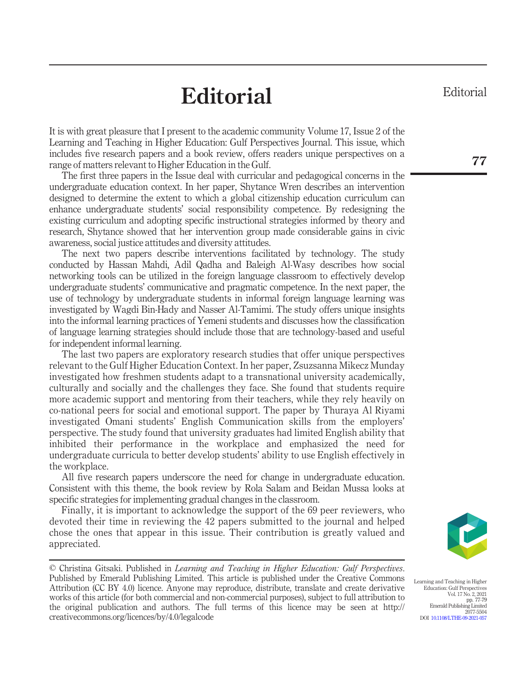# **Editorial**

It is with great pleasure that I present to the academic community Volume 17, Issue 2 of the Learning and Teaching in Higher Education: Gulf Perspectives Journal. This issue, which includes five research papers and a book review, offers readers unique perspectives on a range of matters relevant to Higher Education in the Gulf.

The first three papers in the Issue deal with curricular and pedagogical concerns in the undergraduate education context. In her paper, Shytance Wren describes an intervention designed to determine the extent to which a global citizenship education curriculum can enhance undergraduate students' social responsibility competence. By redesigning the existing curriculum and adopting specific instructional strategies informed by theory and research, Shytance showed that her intervention group made considerable gains in civic awareness, social justice attitudes and diversity attitudes.

The next two papers describe interventions facilitated by technology. The study conducted by Hassan Mahdi, Adil Qadha and Baleigh Al-Wasy describes how social networking tools can be utilized in the foreign language classroom to effectively develop undergraduate students' communicative and pragmatic competence. In the next paper, the use of technology by undergraduate students in informal foreign language learning was investigated by Wagdi Bin-Hady and Nasser Al-Tamimi. The study offers unique insights into the informal learning practices of Yemeni students and discusses how the classification of language learning strategies should include those that are technology-based and useful for independent informal learning.

The last two papers are exploratory research studies that offer unique perspectives relevant to the Gulf Higher Education Context. In her paper, Zsuzsanna Mikecz Munday investigated how freshmen students adapt to a transnational university academically, culturally and socially and the challenges they face. She found that students require more academic support and mentoring from their teachers, while they rely heavily on co-national peers for social and emotional support. The paper by Thuraya Al Riyami investigated Omani students' English Communication skills from the employers' perspective. The study found that university graduates had limited English ability that inhibited their performance in the workplace and emphasized the need for undergraduate curricula to better develop students' ability to use English effectively in the workplace.

All five research papers underscore the need for change in undergraduate education. Consistent with this theme, the book review by Rola Salam and Beidan Mussa looks at specific strategies for implementing gradual changes in the classroom.

Finally, it is important to acknowledge the support of the 69 peer reviewers, who devoted their time in reviewing the 42 papers submitted to the journal and helped chose the ones that appear in this issue. Their contribution is greatly valued and appreciated.

© Christina Gitsaki. Published in Learning and Teaching in Higher Education: Gulf Perspectives. Published by Emerald Publishing Limited. This article is published under the Creative Commons Attribution (CC BY 4.0) licence. Anyone may reproduce, distribute, translate and create derivative works of this article (for both commercial and non-commercial purposes), subject to full attribution to the original publication and authors. The full terms of this licence may be seen at http:// creativecommons.org/licences/by/4.0/legalcode

Learning and Teaching in Higher Education: Gulf Perspectives Vol. 17 No. 2, 2021 pp. 77-79 Emerald Publishing Limited 2077-5504 DOI [10.1108/LTHE-09-2021-057](http://dx.doi.org/10.1108/LTHE-09-2021-057)

Editorial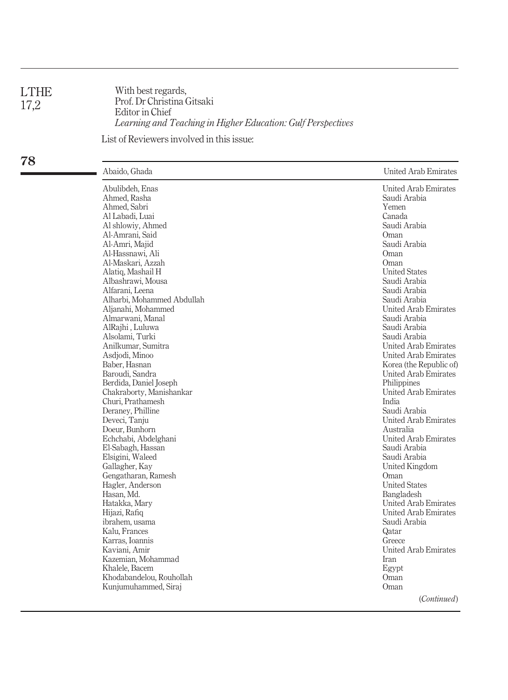| <b>LTHE</b> | With bes  |
|-------------|-----------|
| 17,2        | Prof. Dr  |
|             | Editor in |
|             |           |

With best regards, Prof. Dr Christina Gitsaki Editor in Chief Learning and Teaching in Higher Education: Gulf Perspectives List of Reviewers involved in this issue:

78

| ▄ | Abaido, Ghada                                                                                                                                                                                                                                                                                                                                                                                                                                                                                                                                                                                                                                                                                                                                                                                                                                                | United Arab Emirates                                                                                                                                                                                                                                                                                                                                                                                                                                                                                                                                                                                                                                                                                                                                                                |
|---|--------------------------------------------------------------------------------------------------------------------------------------------------------------------------------------------------------------------------------------------------------------------------------------------------------------------------------------------------------------------------------------------------------------------------------------------------------------------------------------------------------------------------------------------------------------------------------------------------------------------------------------------------------------------------------------------------------------------------------------------------------------------------------------------------------------------------------------------------------------|-------------------------------------------------------------------------------------------------------------------------------------------------------------------------------------------------------------------------------------------------------------------------------------------------------------------------------------------------------------------------------------------------------------------------------------------------------------------------------------------------------------------------------------------------------------------------------------------------------------------------------------------------------------------------------------------------------------------------------------------------------------------------------------|
|   | Abulibdeh, Enas<br>Ahmed, Rasha<br>Ahmed, Sabri<br>Al Labadi, Luai<br>Al shlowiy, Ahmed<br>Al-Amrani, Said<br>Al-Amri, Majid<br>Al-Hassnawi, Ali<br>Al-Maskari, Azzah<br>Alatiq, Mashail H<br>Albashrawi, Mousa<br>Alfarani, Leena<br>Alharbi, Mohammed Abdullah<br>Aljanahi, Mohammed<br>Almarwani, Manal<br>AlRajhi, Luluwa<br>Alsolami, Turki<br>Anilkumar, Sumitra<br>Asdjodi, Minoo<br>Baber, Hasnan<br>Baroudi, Sandra<br>Berdida, Daniel Joseph<br>Chakraborty, Manishankar<br>Churi, Prathamesh<br>Deraney, Philline<br>Deveci, Tanju<br>Doeur, Bunhorn<br>Echchabi, Abdelghani<br>El-Sabagh, Hassan<br>Elsigini, Waleed<br>Gallagher, Kay<br>Gengatharan, Ramesh<br>Hagler, Anderson<br>Hasan, Md.<br>Hatakka, Mary<br>Hijazi, Rafiq<br>ibrahem, usama<br>Kalu, Frances<br>Karras, Ioannis<br>Kaviani, Amir<br>Kazemian, Mohammad<br>Khalele, Bacem | <b>United Arab Emirates</b><br>Saudi Arabia<br>Yemen<br>Canada<br>Saudi Arabia<br>Oman<br>Saudi Arabia<br>Oman<br>Oman<br><b>United States</b><br>Saudi Arabia<br>Saudi Arabia<br>Saudi Arabia<br><b>United Arab Emirates</b><br>Saudi Arabia<br>Saudi Arabia<br>Saudi Arabia<br><b>United Arab Emirates</b><br><b>United Arab Emirates</b><br>Korea (the Republic of)<br>United Arab Emirates<br>Philippines<br><b>United Arab Emirates</b><br>India<br>Saudi Arabia<br><b>United Arab Emirates</b><br>Australia<br>United Arab Emirates<br>Saudi Arabia<br>Saudi Arabia<br>United Kingdom<br>Oman<br><b>United States</b><br>Bangladesh<br>United Arab Emirates<br><b>United Arab Emirates</b><br>Saudi Arabia<br>Qatar<br>Greece<br><b>United Arab Emirates</b><br>Iran<br>Egypt |
|   | Khodabandelou, Rouhollah<br>Kunjumuhammed, Siraj                                                                                                                                                                                                                                                                                                                                                                                                                                                                                                                                                                                                                                                                                                                                                                                                             | Oman<br>Oman                                                                                                                                                                                                                                                                                                                                                                                                                                                                                                                                                                                                                                                                                                                                                                        |
|   |                                                                                                                                                                                                                                                                                                                                                                                                                                                                                                                                                                                                                                                                                                                                                                                                                                                              | (Continued)                                                                                                                                                                                                                                                                                                                                                                                                                                                                                                                                                                                                                                                                                                                                                                         |
|   |                                                                                                                                                                                                                                                                                                                                                                                                                                                                                                                                                                                                                                                                                                                                                                                                                                                              |                                                                                                                                                                                                                                                                                                                                                                                                                                                                                                                                                                                                                                                                                                                                                                                     |